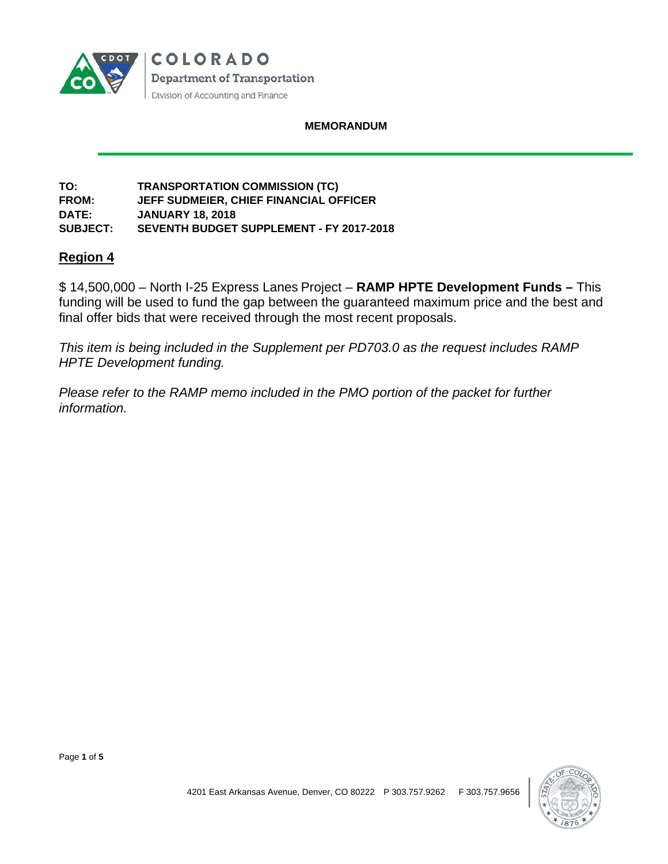

#### **MEMORANDUM**

#### **TO: TRANSPORTATION COMMISSION (TC) FROM: JEFF SUDMEIER, CHIEF FINANCIAL OFFICER DATE: JANUARY 18, 2018 SUBJECT: SEVENTH BUDGET SUPPLEMENT - FY 2017-2018**

# **Region 4**

\$ 14,500,000 – North I-25 Express Lanes Project – **RAMP HPTE Development Funds –** This funding will be used to fund the gap between the guaranteed maximum price and the best and final offer bids that were received through the most recent proposals.

*This item is being included in the Supplement per PD703.0 as the request includes RAMP HPTE Development funding.*

*Please refer to the RAMP memo included in the PMO portion of the packet for further information.* 



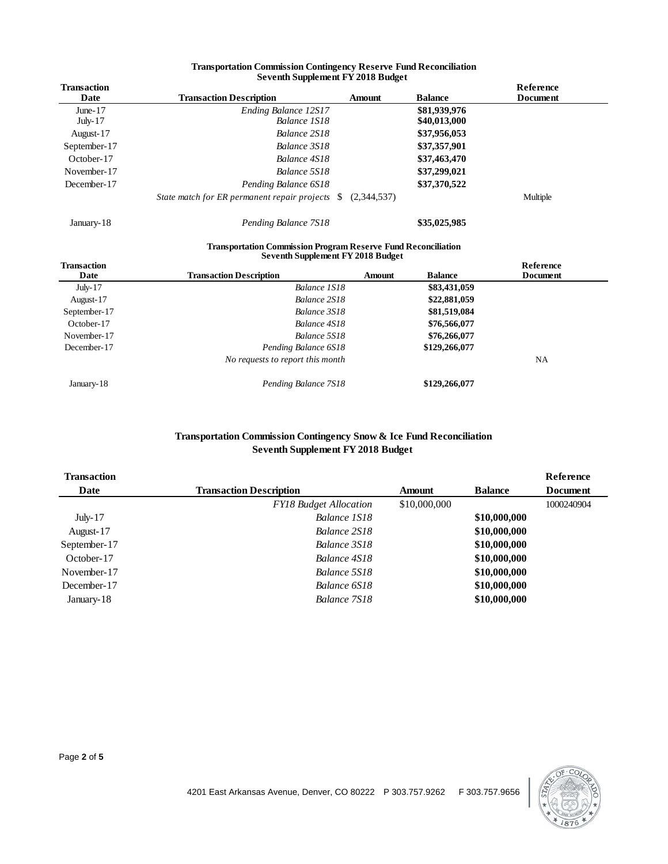|                            | Seventh Supplement FY 2018 Budget                                                                         |               |                |                       |
|----------------------------|-----------------------------------------------------------------------------------------------------------|---------------|----------------|-----------------------|
| <b>Transaction</b><br>Date | <b>Transaction Description</b>                                                                            | <b>Amount</b> | <b>Balance</b> | Reference<br>Document |
|                            |                                                                                                           |               |                |                       |
| June- $17$                 | Ending Balance 12S17<br>Balance 1S18                                                                      |               | \$81,939,976   |                       |
| July- $17$                 |                                                                                                           |               | \$40,013,000   |                       |
| August-17                  | Balance 2S18                                                                                              |               | \$37,956,053   |                       |
| September-17               | Balance 3S18                                                                                              |               | \$37,357,901   |                       |
| October-17                 | Balance 4S18                                                                                              |               | \$37,463,470   |                       |
| November-17                | Balance 5S18                                                                                              |               | \$37,299,021   |                       |
| December-17                | Pending Balance 6S18                                                                                      |               | \$37,370,522   |                       |
|                            | State match for ER permanent repair projects<br><sup>S</sup>                                              | (2,344,537)   |                | Multiple              |
| January-18                 | Pending Balance 7S18                                                                                      |               | \$35,025,985   |                       |
|                            | <b>Transportation Commission Program Reserve Fund Reconciliation</b><br>Seventh Supplement FY 2018 Budget |               |                |                       |
| <b>Transaction</b>         |                                                                                                           |               |                | Reference             |
| Date                       | <b>Transaction Description</b>                                                                            | <b>Amount</b> | <b>Balance</b> | Document              |
| July- $17$                 | Balance 1S18                                                                                              |               | \$83,431,059   |                       |
| August-17                  | Balance 2S18                                                                                              |               | \$22,881,059   |                       |
| September-17               | Balance 3S18                                                                                              |               | \$81,519,084   |                       |
| October-17                 | Balance 4S18                                                                                              |               | \$76,566,077   |                       |
| November-17                | Balance 5S18                                                                                              |               | \$76,266,077   |                       |
| December-17                | Pending Balance 6S18                                                                                      |               | \$129,266,077  |                       |

#### **Transportation Commission Contingency Reserve Fund Reconciliation Seventh Supplement FY 2018 Budget**

*No requests to report this month* NA January-18 *Pending Balance 7S18* **\$129,266,077**

#### **Transportation Commission Contingency Snow & Ice Fund Reconciliation Seventh Supplement FY 2018 Budget**

| <b>Transaction</b> |                                |              |                | Reference       |
|--------------------|--------------------------------|--------------|----------------|-----------------|
| Date               | <b>Transaction Description</b> | Amount       | <b>Balance</b> | <b>Document</b> |
|                    | <b>FY18 Budget Allocation</b>  | \$10,000,000 |                | 1000240904      |
| $July-17$          | Balance 1S18                   |              | \$10,000,000   |                 |
| August-17          | Balance 2S18                   |              | \$10,000,000   |                 |
| September-17       | Balance 3S18                   |              | \$10,000,000   |                 |
| October-17         | Balance 4S18                   |              | \$10,000,000   |                 |
| November-17        | Balance 5S18                   |              | \$10,000,000   |                 |
| December-17        | Balance 6S18                   |              | \$10,000,000   |                 |
| January-18         | Balance 7S18                   |              | \$10,000,000   |                 |

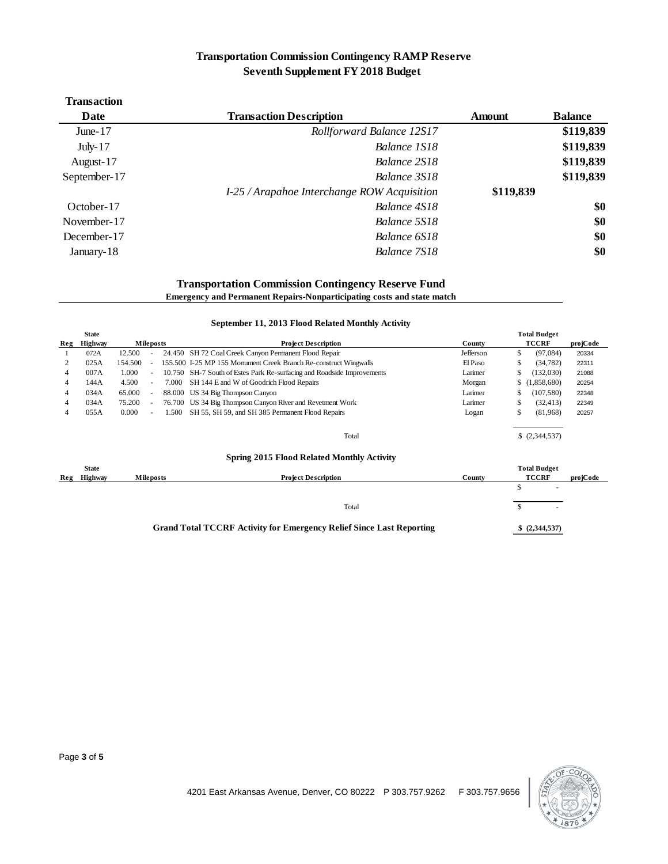# **Transportation Commission Contingency RAMP Reserve Seventh Supplement FY 2018 Budget**

| <b>Transaction</b> |                                             |               |                |
|--------------------|---------------------------------------------|---------------|----------------|
| Date               | <b>Transaction Description</b>              | <b>Amount</b> | <b>Balance</b> |
| June- $17$         | Rollforward Balance 12S17                   |               | \$119,839      |
| July- $17$         | Balance 1S18                                |               | \$119,839      |
| August-17          | Balance 2S18                                |               | \$119,839      |
| September-17       | Balance 3S18                                |               | \$119,839      |
|                    | I-25 / Arapahoe Interchange ROW Acquisition | \$119,839     |                |
| October-17         | Balance 4S18                                |               | \$0            |
| November-17        | Balance 5S18                                |               | \$0            |
| December-17        | Balance 6S18                                |               | \$0            |
| January-18         | Balance 7S18                                |               | \$0            |
|                    |                                             |               |                |

#### **Transportation Commission Contingency Reserve Fund**

**Emergency and Permanent Repairs-Nonparticipating costs and state match**

| September 11, 2013 Flood Related Monthly Activity                           |                |                  |                          |       |                                                                        |                |    |                   |          |
|-----------------------------------------------------------------------------|----------------|------------------|--------------------------|-------|------------------------------------------------------------------------|----------------|----|-------------------|----------|
|                                                                             | <b>State</b>   |                  |                          |       | <b>Total Budget</b>                                                    |                |    |                   |          |
| Reg                                                                         | <b>Highway</b> | <b>Mileposts</b> |                          |       | <b>Project Description</b>                                             | County         |    | <b>TCCRF</b>      | projCode |
|                                                                             | 072A           | 12.500           |                          |       | 24.450 SH 72 Coal Creek Canyon Permanent Flood Repair                  | Jefferson      | \$ | (97,084)          | 20334    |
|                                                                             | 025A           | 154.500          |                          |       | 155.500 I-25 MP 155 Monument Creek Branch Re-construct Wingwalls       | El Paso        | \$ | (34, 782)         | 22311    |
| 4                                                                           | 007A           | 1.000            | $\overline{\phantom{a}}$ |       | 10.750 SH-7 South of Estes Park Re-surfacing and Roadside Improvements | Larimer        | \$ | (132,030)         | 21088    |
| 4                                                                           | 144A           | 4.500            | $\sim$                   | 7.000 | SH 144 E and W of Goodrich Flood Repairs                               | Morgan         | \$ | (1,858,680)       | 20254    |
| 4                                                                           | 034A           | 65.000           | $\sim$                   |       | 88.000 US 34 Big Thompson Canyon                                       | Larimer        | S  | (107, 580)        | 22348    |
| 4                                                                           | 034A           | 75.200           |                          |       | 76.700 US 34 Big Thompson Canyon River and Revetment Work              | Larimer        | \$ | (32, 413)         | 22349    |
| 4                                                                           | 055A           | 0.000            |                          | 1.500 | SH 55, SH 59, and SH 385 Permanent Flood Repairs                       | Logan          | \$ | (81,968)          | 20257    |
|                                                                             |                |                  |                          |       |                                                                        |                |    |                   |          |
|                                                                             |                |                  |                          |       | Total                                                                  |                |    | $$$ $(2,344,537)$ |          |
|                                                                             |                |                  |                          |       | <b>Spring 2015 Flood Related Monthly Activity</b>                      |                |    |                   |          |
|                                                                             | <b>State</b>   |                  |                          |       | <b>Total Budget</b>                                                    |                |    |                   |          |
| Reg                                                                         | <b>Highway</b> |                  | <b>Mileposts</b>         |       | <b>Project Description</b>                                             | County         |    | <b>TCCRF</b>      | projCode |
|                                                                             |                |                  |                          |       |                                                                        |                | \$ |                   |          |
|                                                                             |                |                  |                          |       |                                                                        |                |    |                   |          |
|                                                                             |                |                  |                          |       | Total                                                                  |                | \$ |                   |          |
|                                                                             |                |                  |                          |       |                                                                        |                |    |                   |          |
| <b>Grand Total TCCRF Activity for Emergency Relief Since Last Reporting</b> |                |                  |                          |       |                                                                        | \$ (2,344,537) |    |                   |          |

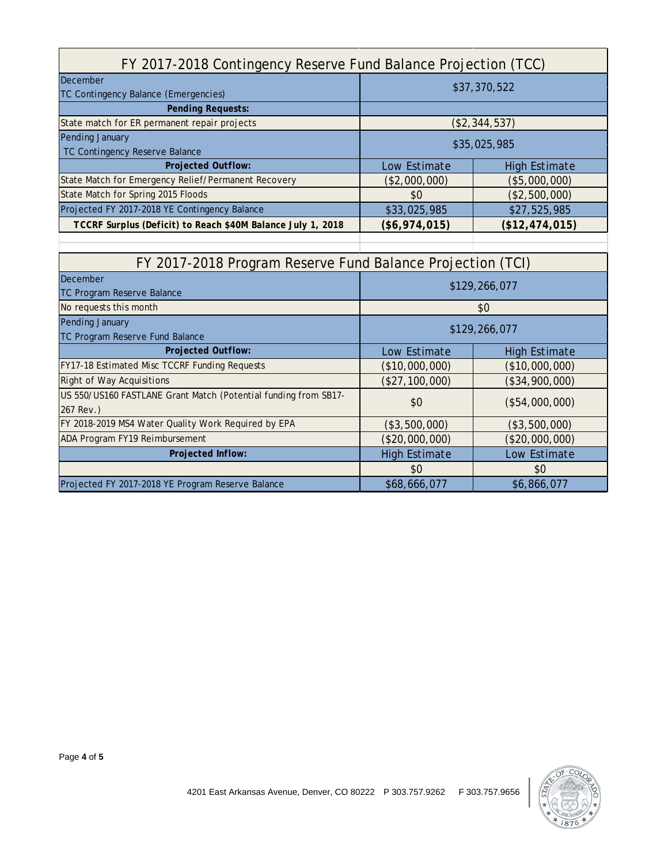| FY 2017-2018 Contingency Reserve Fund Balance Projection (TCC)  |                                      |                      |  |  |  |  |
|-----------------------------------------------------------------|--------------------------------------|----------------------|--|--|--|--|
| December                                                        | \$37,370,522                         |                      |  |  |  |  |
| TC Contingency Balance (Emergencies)                            |                                      |                      |  |  |  |  |
| <b>Pending Requests:</b>                                        |                                      |                      |  |  |  |  |
| State match for ER permanent repair projects                    |                                      | (\$2,344,537)        |  |  |  |  |
| Pending January                                                 | \$35,025,985                         |                      |  |  |  |  |
| TC Contingency Reserve Balance                                  |                                      |                      |  |  |  |  |
| <b>Projected Outflow:</b>                                       | Low Estimate<br><b>High Estimate</b> |                      |  |  |  |  |
| State Match for Emergency Relief/Permanent Recovery             | (\$2,000,000)                        | (\$5,000,000)        |  |  |  |  |
| State Match for Spring 2015 Floods                              | \$0                                  | (\$2,500,000)        |  |  |  |  |
| Projected FY 2017-2018 YE Contingency Balance                   | \$33,025,985                         | \$27,525,985         |  |  |  |  |
| TCCRF Surplus (Deficit) to Reach \$40M Balance July 1, 2018     | $(\$6,974,015)$                      | (\$12,474,015)       |  |  |  |  |
|                                                                 |                                      |                      |  |  |  |  |
| FY 2017-2018 Program Reserve Fund Balance Projection (TCI)      |                                      |                      |  |  |  |  |
| December<br>TC Program Reserve Balance                          | \$129,266,077                        |                      |  |  |  |  |
| No requests this month                                          | \$0                                  |                      |  |  |  |  |
| Pending January                                                 |                                      |                      |  |  |  |  |
| TC Program Reserve Fund Balance                                 | \$129,266,077                        |                      |  |  |  |  |
| <b>Projected Outflow:</b>                                       | Low Estimate                         | <b>High Estimate</b> |  |  |  |  |
| FY17-18 Estimated Misc TCCRF Funding Requests                   | (\$10,000,000)                       | (\$10,000,000)       |  |  |  |  |
| <b>Right of Way Acquisitions</b>                                | (\$27,100,000)                       | (\$34,900,000)       |  |  |  |  |
| US 550/US160 FASTLANE Grant Match (Potential funding from SB17- | \$0                                  |                      |  |  |  |  |
| 267 Rev.)                                                       |                                      | (\$54,000,000)       |  |  |  |  |
|                                                                 |                                      |                      |  |  |  |  |
| FY 2018-2019 MS4 Water Quality Work Required by EPA             | (\$3,500,000)                        | (\$3,500,000)        |  |  |  |  |
| ADA Program FY19 Reimbursement                                  | (\$20,000,000)                       | (\$20,000,000)       |  |  |  |  |
| Projected Inflow:                                               | <b>High Estimate</b>                 | Low Estimate         |  |  |  |  |
|                                                                 | \$0                                  | \$0                  |  |  |  |  |